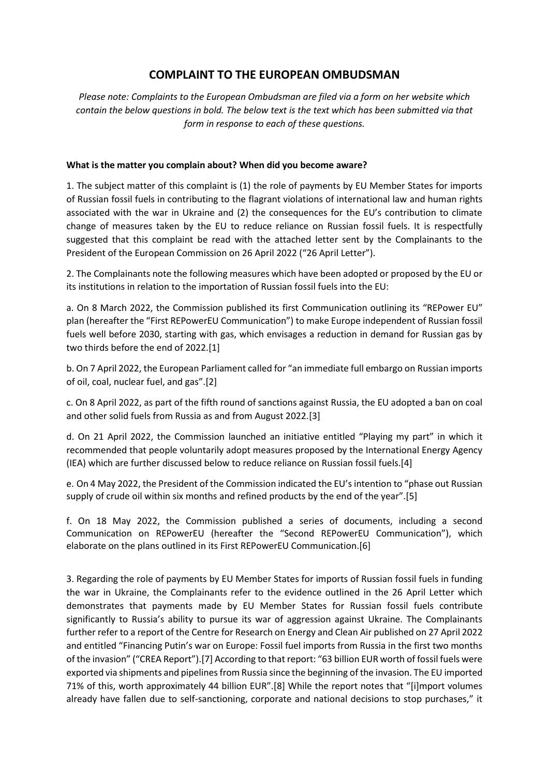# **COMPLAINT TO THE EUROPEAN OMBUDSMAN**

*Please note: Complaints to the European Ombudsman are filed via a form on her website which contain the below questions in bold. The below text is the text which has been submitted via that form in response to each of these questions.*

#### **What is the matter you complain about? When did you become aware?**

1. The subject matter of this complaint is (1) the role of payments by EU Member States for imports of Russian fossil fuels in contributing to the flagrant violations of international law and human rights associated with the war in Ukraine and (2) the consequences for the EU's contribution to climate change of measures taken by the EU to reduce reliance on Russian fossil fuels. It is respectfully suggested that this complaint be read with the attached letter sent by the Complainants to the President of the European Commission on 26 April 2022 ("26 April Letter").

2. The Complainants note the following measures which have been adopted or proposed by the EU or its institutions in relation to the importation of Russian fossil fuels into the EU:

a. On 8 March 2022, the Commission published its first Communication outlining its "REPower EU" plan (hereafter the "First REPowerEU Communication") to make Europe independent of Russian fossil fuels well before 2030, starting with gas, which envisages a reduction in demand for Russian gas by two thirds before the end of 2022.[1]

b. On 7 April 2022, the European Parliament called for "an immediate full embargo on Russian imports of oil, coal, nuclear fuel, and gas".[2]

c. On 8 April 2022, as part of the fifth round of sanctions against Russia, the EU adopted a ban on coal and other solid fuels from Russia as and from August 2022.[3]

d. On 21 April 2022, the Commission launched an initiative entitled "Playing my part" in which it recommended that people voluntarily adopt measures proposed by the International Energy Agency (IEA) which are further discussed below to reduce reliance on Russian fossil fuels.[4]

e. On 4 May 2022, the President of the Commission indicated the EU's intention to "phase out Russian supply of crude oil within six months and refined products by the end of the year".[5]

f. On 18 May 2022, the Commission published a series of documents, including a second Communication on REPowerEU (hereafter the "Second REPowerEU Communication"), which elaborate on the plans outlined in its First REPowerEU Communication.[6]

3. Regarding the role of payments by EU Member States for imports of Russian fossil fuels in funding the war in Ukraine, the Complainants refer to the evidence outlined in the 26 April Letter which demonstrates that payments made by EU Member States for Russian fossil fuels contribute significantly to Russia's ability to pursue its war of aggression against Ukraine. The Complainants further refer to a report of the Centre for Research on Energy and Clean Air published on 27 April 2022 and entitled "Financing Putin's war on Europe: Fossil fuel imports from Russia in the first two months of the invasion" ("CREA Report").[7] According to that report: "63 billion EUR worth of fossil fuels were exported via shipments and pipelines from Russia since the beginning of the invasion. The EU imported 71% of this, worth approximately 44 billion EUR".[8] While the report notes that "[i]mport volumes already have fallen due to self-sanctioning, corporate and national decisions to stop purchases," it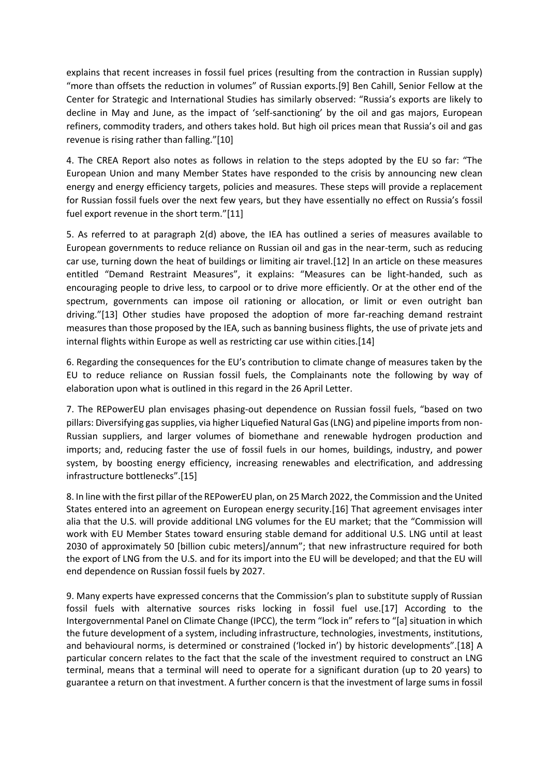explains that recent increases in fossil fuel prices (resulting from the contraction in Russian supply) "more than offsets the reduction in volumes" of Russian exports.[9] Ben Cahill, Senior Fellow at the Center for Strategic and International Studies has similarly observed: "Russia's exports are likely to decline in May and June, as the impact of 'self-sanctioning' by the oil and gas majors, European refiners, commodity traders, and others takes hold. But high oil prices mean that Russia's oil and gas revenue is rising rather than falling."[10]

4. The CREA Report also notes as follows in relation to the steps adopted by the EU so far: "The European Union and many Member States have responded to the crisis by announcing new clean energy and energy efficiency targets, policies and measures. These steps will provide a replacement for Russian fossil fuels over the next few years, but they have essentially no effect on Russia's fossil fuel export revenue in the short term."[11]

5. As referred to at paragraph 2(d) above, the IEA has outlined a series of measures available to European governments to reduce reliance on Russian oil and gas in the near-term, such as reducing car use, turning down the heat of buildings or limiting air travel.[12] In an article on these measures entitled "Demand Restraint Measures", it explains: "Measures can be light-handed, such as encouraging people to drive less, to carpool or to drive more efficiently. Or at the other end of the spectrum, governments can impose oil rationing or allocation, or limit or even outright ban driving."[13] Other studies have proposed the adoption of more far-reaching demand restraint measures than those proposed by the IEA, such as banning business flights, the use of private jets and internal flights within Europe as well as restricting car use within cities.[14]

6. Regarding the consequences for the EU's contribution to climate change of measures taken by the EU to reduce reliance on Russian fossil fuels, the Complainants note the following by way of elaboration upon what is outlined in this regard in the 26 April Letter.

7. The REPowerEU plan envisages phasing-out dependence on Russian fossil fuels, "based on two pillars: Diversifying gas supplies, via higher Liquefied Natural Gas (LNG) and pipeline imports from non-Russian suppliers, and larger volumes of biomethane and renewable hydrogen production and imports; and, reducing faster the use of fossil fuels in our homes, buildings, industry, and power system, by boosting energy efficiency, increasing renewables and electrification, and addressing infrastructure bottlenecks".[15]

8. In line with the first pillar of the REPowerEU plan, on 25 March 2022, the Commission and the United States entered into an agreement on European energy security.[16] That agreement envisages inter alia that the U.S. will provide additional LNG volumes for the EU market; that the "Commission will work with EU Member States toward ensuring stable demand for additional U.S. LNG until at least 2030 of approximately 50 [billion cubic meters]/annum"; that new infrastructure required for both the export of LNG from the U.S. and for its import into the EU will be developed; and that the EU will end dependence on Russian fossil fuels by 2027.

9. Many experts have expressed concerns that the Commission's plan to substitute supply of Russian fossil fuels with alternative sources risks locking in fossil fuel use.[17] According to the Intergovernmental Panel on Climate Change (IPCC), the term "lock in" refers to "[a] situation in which the future development of a system, including infrastructure, technologies, investments, institutions, and behavioural norms, is determined or constrained ('locked in') by historic developments".[18] A particular concern relates to the fact that the scale of the investment required to construct an LNG terminal, means that a terminal will need to operate for a significant duration (up to 20 years) to guarantee a return on that investment. A further concern is that the investment of large sums in fossil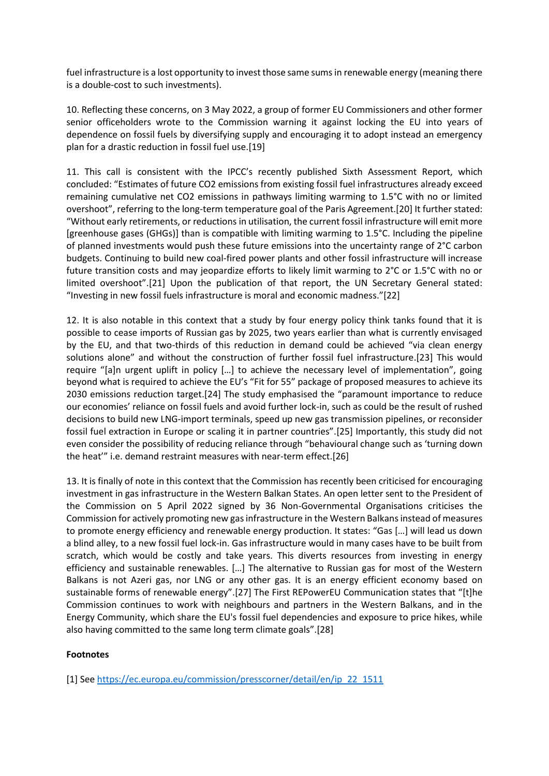fuel infrastructure is a lost opportunity to invest those same sums in renewable energy (meaning there is a double-cost to such investments).

10. Reflecting these concerns, on 3 May 2022, a group of former EU Commissioners and other former senior officeholders wrote to the Commission warning it against locking the EU into years of dependence on fossil fuels by diversifying supply and encouraging it to adopt instead an emergency plan for a drastic reduction in fossil fuel use.[19]

11. This call is consistent with the IPCC's recently published Sixth Assessment Report, which concluded: "Estimates of future CO2 emissions from existing fossil fuel infrastructures already exceed remaining cumulative net CO2 emissions in pathways limiting warming to 1.5°C with no or limited overshoot", referring to the long-term temperature goal of the Paris Agreement.[20] It further stated: "Without early retirements, or reductions in utilisation, the current fossil infrastructure will emit more [greenhouse gases (GHGs)] than is compatible with limiting warming to 1.5°C. Including the pipeline of planned investments would push these future emissions into the uncertainty range of 2°C carbon budgets. Continuing to build new coal-fired power plants and other fossil infrastructure will increase future transition costs and may jeopardize efforts to likely limit warming to 2°C or 1.5°C with no or limited overshoot".[21] Upon the publication of that report, the UN Secretary General stated: "Investing in new fossil fuels infrastructure is moral and economic madness."[22]

12. It is also notable in this context that a study by four energy policy think tanks found that it is possible to cease imports of Russian gas by 2025, two years earlier than what is currently envisaged by the EU, and that two-thirds of this reduction in demand could be achieved "via clean energy solutions alone" and without the construction of further fossil fuel infrastructure.[23] This would require "[a]n urgent uplift in policy […] to achieve the necessary level of implementation", going beyond what is required to achieve the EU's "Fit for 55" package of proposed measures to achieve its 2030 emissions reduction target.[24] The study emphasised the "paramount importance to reduce our economies' reliance on fossil fuels and avoid further lock-in, such as could be the result of rushed decisions to build new LNG-import terminals, speed up new gas transmission pipelines, or reconsider fossil fuel extraction in Europe or scaling it in partner countries".[25] Importantly, this study did not even consider the possibility of reducing reliance through "behavioural change such as 'turning down the heat'" i.e. demand restraint measures with near-term effect.[26]

13. It is finally of note in this context that the Commission has recently been criticised for encouraging investment in gas infrastructure in the Western Balkan States. An open letter sent to the President of the Commission on 5 April 2022 signed by 36 Non-Governmental Organisations criticises the Commission for actively promoting new gas infrastructure in the Western Balkans instead of measures to promote energy efficiency and renewable energy production. It states: "Gas […] will lead us down a blind alley, to a new fossil fuel lock-in. Gas infrastructure would in many cases have to be built from scratch, which would be costly and take years. This diverts resources from investing in energy efficiency and sustainable renewables. […] The alternative to Russian gas for most of the Western Balkans is not Azeri gas, nor LNG or any other gas. It is an energy efficient economy based on sustainable forms of renewable energy".[27] The First REPowerEU Communication states that "[t]he Commission continues to work with neighbours and partners in the Western Balkans, and in the Energy Community, which share the EU's fossil fuel dependencies and exposure to price hikes, while also having committed to the same long term climate goals".[28]

### **Footnotes**

[1] See [https://ec.europa.eu/commission/presscorner/detail/en/ip\\_22\\_1511](https://ec.europa.eu/commission/presscorner/detail/en/ip_22_1511)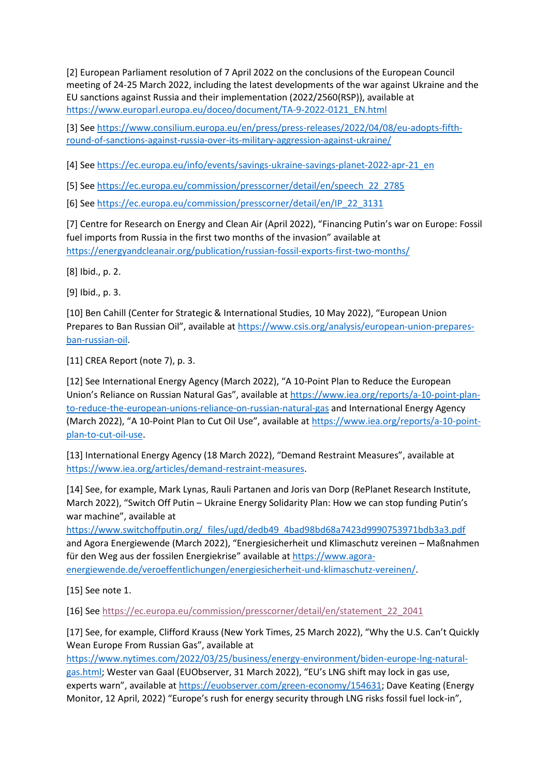[2] European Parliament resolution of 7 April 2022 on the conclusions of the European Council meeting of 24-25 March 2022, including the latest developments of the war against Ukraine and the EU sanctions against Russia and their implementation (2022/2560(RSP)), available at [https://www.europarl.europa.eu/doceo/document/TA-9-2022-0121\\_EN.html](https://www.europarl.europa.eu/doceo/document/TA-9-2022-0121_EN.html)

[3] See [https://www.consilium.europa.eu/en/press/press-releases/2022/04/08/eu-adopts-fifth](https://www.consilium.europa.eu/en/press/press-releases/2022/04/08/eu-adopts-fifth-round-of-sanctions-against-russia-over-its-military-aggression-against-ukraine/)[round-of-sanctions-against-russia-over-its-military-aggression-against-ukraine/](https://www.consilium.europa.eu/en/press/press-releases/2022/04/08/eu-adopts-fifth-round-of-sanctions-against-russia-over-its-military-aggression-against-ukraine/)

[4] See [https://ec.europa.eu/info/events/savings-ukraine-savings-planet-2022-apr-21\\_en](https://ec.europa.eu/info/events/savings-ukraine-savings-planet-2022-apr-21_en)

[5] See [https://ec.europa.eu/commission/presscorner/detail/en/speech\\_22\\_2785](https://ec.europa.eu/commission/presscorner/detail/en/speech_22_2785)

[6] See [https://ec.europa.eu/commission/presscorner/detail/en/IP\\_22\\_3131](https://ec.europa.eu/commission/presscorner/detail/en/IP_22_3131)

[7] Centre for Research on Energy and Clean Air (April 2022), "Financing Putin's war on Europe: Fossil fuel imports from Russia in the first two months of the invasion" available at <https://energyandcleanair.org/publication/russian-fossil-exports-first-two-months/>

[8] Ibid., p. 2.

[9] Ibid., p. 3.

[10] Ben Cahill (Center for Strategic & International Studies, 10 May 2022), "European Union Prepares to Ban Russian Oil", available at [https://www.csis.org/analysis/european-union-prepares](https://www.csis.org/analysis/european-union-prepares-ban-russian-oil)[ban-russian-oil.](https://www.csis.org/analysis/european-union-prepares-ban-russian-oil)

[11] CREA Report (note 7), p. 3.

[12] See International Energy Agency (March 2022), "A 10-Point Plan to Reduce the European Union's Reliance on Russian Natural Gas", available at [https://www.iea.org/reports/a-10-point-plan](https://www.iea.org/reports/a-10-point-plan-to-reduce-the-european-unions-reliance-on-russian-natural-gas)[to-reduce-the-european-unions-reliance-on-russian-natural-gas](https://www.iea.org/reports/a-10-point-plan-to-reduce-the-european-unions-reliance-on-russian-natural-gas) and International Energy Agency (March 2022), "A 10-Point Plan to Cut Oil Use", available at [https://www.iea.org/reports/a-10-point](https://www.iea.org/reports/a-10-point-plan-to-cut-oil-use)[plan-to-cut-oil-use.](https://www.iea.org/reports/a-10-point-plan-to-cut-oil-use)

[13] International Energy Agency (18 March 2022), "Demand Restraint Measures", available at [https://www.iea.org/articles/demand-restraint-measures.](https://www.iea.org/articles/demand-restraint-measures)

[14] See, for example, Mark Lynas, Rauli Partanen and Joris van Dorp (RePlanet Research Institute, March 2022), "Switch Off Putin – Ukraine Energy Solidarity Plan: How we can stop funding Putin's war machine", available at

[https://www.switchoffputin.org/\\_files/ugd/dedb49\\_4bad98bd68a7423d9990753971bdb3a3.pdf](https://www.switchoffputin.org/_files/ugd/dedb49_4bad98bd68a7423d9990753971bdb3a3.pdf) and Agora Energiewende (March 2022), "Energiesicherheit und Klimaschutz vereinen – Maßnahmen für den Weg aus der fossilen Energiekrise" available at [https://www.agora](https://www.agora-energiewende.de/veroeffentlichungen/energiesicherheit-und-klimaschutz-vereinen/)[energiewende.de/veroeffentlichungen/energiesicherheit-und-klimaschutz-vereinen/.](https://www.agora-energiewende.de/veroeffentlichungen/energiesicherheit-und-klimaschutz-vereinen/)

[15] See note 1.

[16] See [https://ec.europa.eu/commission/presscorner/detail/en/statement\\_22\\_2041](https://ec.europa.eu/commission/presscorner/detail/en/statement_22_2041)

[17] See, for example, Clifford Krauss (New York Times, 25 March 2022), "Why the U.S. Can't Quickly Wean Europe From Russian Gas", available at

[https://www.nytimes.com/2022/03/25/business/energy-environment/biden-europe-lng-natural](https://www.nytimes.com/2022/03/25/business/energy-environment/biden-europe-lng-natural-gas.html)[gas.html;](https://www.nytimes.com/2022/03/25/business/energy-environment/biden-europe-lng-natural-gas.html) Wester van Gaal (EUObserver, 31 March 2022), "EU's LNG shift may lock in gas use, experts warn", available at [https://euobserver.com/green-economy/154631;](https://euobserver.com/green-economy/154631) Dave Keating (Energy Monitor, 12 April, 2022) "Europe's rush for energy security through LNG risks fossil fuel lock-in",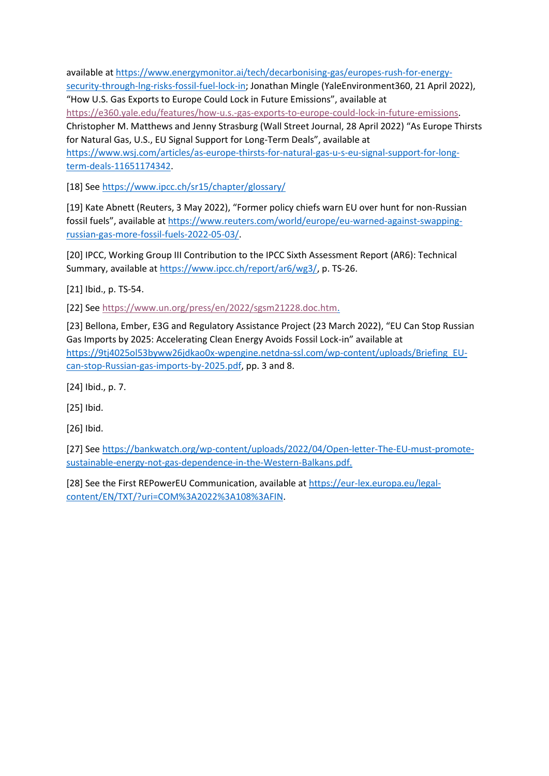available a[t https://www.energymonitor.ai/tech/decarbonising-gas/europes-rush-for-energy](https://www.energymonitor.ai/tech/decarbonising-gas/europes-rush-for-energy-security-through-lng-risks-fossil-fuel-lock-in)[security-through-lng-risks-fossil-fuel-lock-in;](https://www.energymonitor.ai/tech/decarbonising-gas/europes-rush-for-energy-security-through-lng-risks-fossil-fuel-lock-in) Jonathan Mingle (YaleEnvironment360, 21 April 2022), "How U.S. Gas Exports to Europe Could Lock in Future Emissions", available at [https://e360.yale.edu/features/how-u.s.-gas-exports-to-europe-could-lock-in-future-emissions.](https://e360.yale.edu/features/how-u.s.-gas-exports-to-europe-could-lock-in-future-emissions) Christopher M. Matthews and Jenny Strasburg (Wall Street Journal, 28 April 2022) "As Europe Thirsts for Natural Gas, U.S., EU Signal Support for Long-Term Deals", available at [https://www.wsj.com/articles/as-europe-thirsts-for-natural-gas-u-s-eu-signal-support-for-long](https://www.wsj.com/articles/as-europe-thirsts-for-natural-gas-u-s-eu-signal-support-for-long-term-deals-11651174342)[term-deals-11651174342.](https://www.wsj.com/articles/as-europe-thirsts-for-natural-gas-u-s-eu-signal-support-for-long-term-deals-11651174342)

[18] See<https://www.ipcc.ch/sr15/chapter/glossary/>

[19] Kate Abnett (Reuters, 3 May 2022), "Former policy chiefs warn EU over hunt for non-Russian fossil fuels", available at [https://www.reuters.com/world/europe/eu-warned-against-swapping](https://www.reuters.com/world/europe/eu-warned-against-swapping-russian-gas-more-fossil-fuels-2022-05-03/)[russian-gas-more-fossil-fuels-2022-05-03/.](https://www.reuters.com/world/europe/eu-warned-against-swapping-russian-gas-more-fossil-fuels-2022-05-03/)

[20] IPCC, Working Group III Contribution to the IPCC Sixth Assessment Report (AR6): Technical Summary, available at [https://www.ipcc.ch/report/ar6/wg3/,](https://www.ipcc.ch/report/ar6/wg3/) p. TS-26.

[21] Ibid., p. TS-54.

[22] See [https://www.un.org/press/en/2022/sgsm21228.doc.htm.](https://www.un.org/press/en/2022/sgsm21228.doc.htm)

[23] Bellona, Ember, E3G and Regulatory Assistance Project (23 March 2022), "EU Can Stop Russian Gas Imports by 2025: Accelerating Clean Energy Avoids Fossil Lock-in" available at [https://9tj4025ol53byww26jdkao0x-wpengine.netdna-ssl.com/wp-content/uploads/Briefing\\_EU](https://9tj4025ol53byww26jdkao0x-wpengine.netdna-ssl.com/wp-content/uploads/Briefing_EU-can-stop-Russian-gas-imports-by-2025.pdf)[can-stop-Russian-gas-imports-by-2025.pdf,](https://9tj4025ol53byww26jdkao0x-wpengine.netdna-ssl.com/wp-content/uploads/Briefing_EU-can-stop-Russian-gas-imports-by-2025.pdf) pp. 3 and 8.

[24] Ibid., p. 7.

[25] Ibid.

[26] Ibid.

[27] See [https://bankwatch.org/wp-content/uploads/2022/04/Open-letter-The-EU-must-promote](https://bankwatch.org/wp-content/uploads/2022/04/Open-letter-The-EU-must-promote-sustainable-energy-not-gas-dependence-in-the-Western-Balkans.pdf)[sustainable-energy-not-gas-dependence-in-the-Western-Balkans.pdf.](https://bankwatch.org/wp-content/uploads/2022/04/Open-letter-The-EU-must-promote-sustainable-energy-not-gas-dependence-in-the-Western-Balkans.pdf)

[28] See the First REPowerEU Communication, available at [https://eur-lex.europa.eu/legal](https://eur-lex.europa.eu/legal-content/EN/TXT/?uri=COM%3A2022%3A108%3AFIN)[content/EN/TXT/?uri=COM%3A2022%3A108%3AFIN.](https://eur-lex.europa.eu/legal-content/EN/TXT/?uri=COM%3A2022%3A108%3AFIN)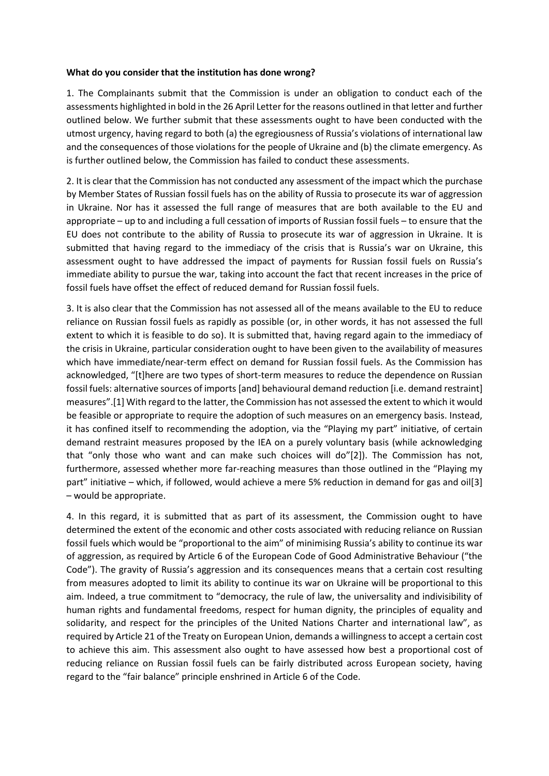#### **What do you consider that the institution has done wrong?**

1. The Complainants submit that the Commission is under an obligation to conduct each of the assessments highlighted in bold in the 26 April Letter for the reasons outlined in that letter and further outlined below. We further submit that these assessments ought to have been conducted with the utmost urgency, having regard to both (a) the egregiousness of Russia's violations of international law and the consequences of those violations for the people of Ukraine and (b) the climate emergency. As is further outlined below, the Commission has failed to conduct these assessments.

2. It is clear that the Commission has not conducted any assessment of the impact which the purchase by Member States of Russian fossil fuels has on the ability of Russia to prosecute its war of aggression in Ukraine. Nor has it assessed the full range of measures that are both available to the EU and appropriate – up to and including a full cessation of imports of Russian fossil fuels – to ensure that the EU does not contribute to the ability of Russia to prosecute its war of aggression in Ukraine. It is submitted that having regard to the immediacy of the crisis that is Russia's war on Ukraine, this assessment ought to have addressed the impact of payments for Russian fossil fuels on Russia's immediate ability to pursue the war, taking into account the fact that recent increases in the price of fossil fuels have offset the effect of reduced demand for Russian fossil fuels.

3. It is also clear that the Commission has not assessed all of the means available to the EU to reduce reliance on Russian fossil fuels as rapidly as possible (or, in other words, it has not assessed the full extent to which it is feasible to do so). It is submitted that, having regard again to the immediacy of the crisis in Ukraine, particular consideration ought to have been given to the availability of measures which have immediate/near-term effect on demand for Russian fossil fuels. As the Commission has acknowledged, "[t]here are two types of short-term measures to reduce the dependence on Russian fossil fuels: alternative sources of imports [and] behavioural demand reduction [i.e. demand restraint] measures".[1] With regard to the latter, the Commission has not assessed the extent to which it would be feasible or appropriate to require the adoption of such measures on an emergency basis. Instead, it has confined itself to recommending the adoption, via the "Playing my part" initiative, of certain demand restraint measures proposed by the IEA on a purely voluntary basis (while acknowledging that "only those who want and can make such choices will do"[2]). The Commission has not, furthermore, assessed whether more far-reaching measures than those outlined in the "Playing my part" initiative – which, if followed, would achieve a mere 5% reduction in demand for gas and oil[3] – would be appropriate.

4. In this regard, it is submitted that as part of its assessment, the Commission ought to have determined the extent of the economic and other costs associated with reducing reliance on Russian fossil fuels which would be "proportional to the aim" of minimising Russia's ability to continue its war of aggression, as required by Article 6 of the European Code of Good Administrative Behaviour ("the Code"). The gravity of Russia's aggression and its consequences means that a certain cost resulting from measures adopted to limit its ability to continue its war on Ukraine will be proportional to this aim. Indeed, a true commitment to "democracy, the rule of law, the universality and indivisibility of human rights and fundamental freedoms, respect for human dignity, the principles of equality and solidarity, and respect for the principles of the United Nations Charter and international law", as required by Article 21 of the Treaty on European Union, demands a willingness to accept a certain cost to achieve this aim. This assessment also ought to have assessed how best a proportional cost of reducing reliance on Russian fossil fuels can be fairly distributed across European society, having regard to the "fair balance" principle enshrined in Article 6 of the Code.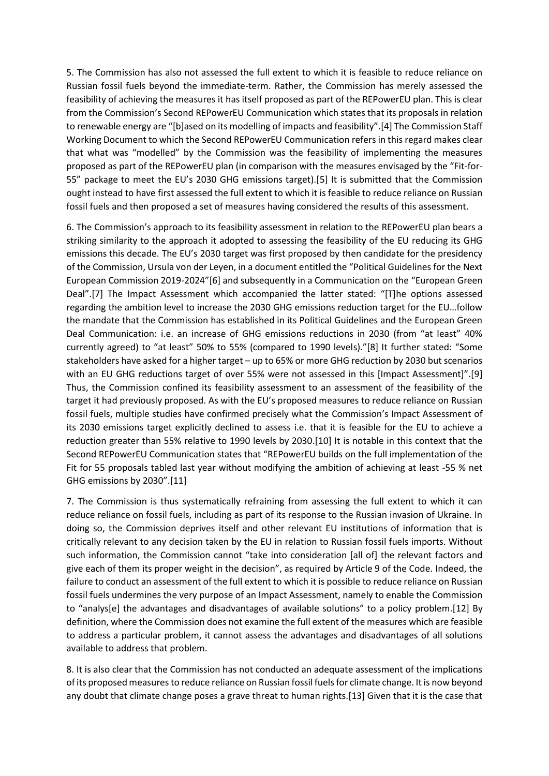5. The Commission has also not assessed the full extent to which it is feasible to reduce reliance on Russian fossil fuels beyond the immediate-term. Rather, the Commission has merely assessed the feasibility of achieving the measures it has itself proposed as part of the REPowerEU plan. This is clear from the Commission's Second REPowerEU Communication which states that its proposals in relation to renewable energy are "[b]ased on its modelling of impacts and feasibility".[4] The Commission Staff Working Document to which the Second REPowerEU Communication refers in this regard makes clear that what was "modelled" by the Commission was the feasibility of implementing the measures proposed as part of the REPowerEU plan (in comparison with the measures envisaged by the "Fit-for-55" package to meet the EU's 2030 GHG emissions target).[5] It is submitted that the Commission ought instead to have first assessed the full extent to which it is feasible to reduce reliance on Russian fossil fuels and then proposed a set of measures having considered the results of this assessment.

6. The Commission's approach to its feasibility assessment in relation to the REPowerEU plan bears a striking similarity to the approach it adopted to assessing the feasibility of the EU reducing its GHG emissions this decade. The EU's 2030 target was first proposed by then candidate for the presidency of the Commission, Ursula von der Leyen, in a document entitled the "Political Guidelines for the Next European Commission 2019-2024"[6] and subsequently in a Communication on the "European Green Deal".[7] The Impact Assessment which accompanied the latter stated: "[T]he options assessed regarding the ambition level to increase the 2030 GHG emissions reduction target for the EU…follow the mandate that the Commission has established in its Political Guidelines and the European Green Deal Communication: i.e. an increase of GHG emissions reductions in 2030 (from "at least" 40% currently agreed) to "at least" 50% to 55% (compared to 1990 levels)."[8] It further stated: "Some stakeholders have asked for a higher target – up to 65% or more GHG reduction by 2030 but scenarios with an EU GHG reductions target of over 55% were not assessed in this [Impact Assessment]".[9] Thus, the Commission confined its feasibility assessment to an assessment of the feasibility of the target it had previously proposed. As with the EU's proposed measures to reduce reliance on Russian fossil fuels, multiple studies have confirmed precisely what the Commission's Impact Assessment of its 2030 emissions target explicitly declined to assess i.e. that it is feasible for the EU to achieve a reduction greater than 55% relative to 1990 levels by 2030.[10] It is notable in this context that the Second REPowerEU Communication states that "REPowerEU builds on the full implementation of the Fit for 55 proposals tabled last year without modifying the ambition of achieving at least -55 % net GHG emissions by 2030".[11]

7. The Commission is thus systematically refraining from assessing the full extent to which it can reduce reliance on fossil fuels, including as part of its response to the Russian invasion of Ukraine. In doing so, the Commission deprives itself and other relevant EU institutions of information that is critically relevant to any decision taken by the EU in relation to Russian fossil fuels imports. Without such information, the Commission cannot "take into consideration [all of] the relevant factors and give each of them its proper weight in the decision", as required by Article 9 of the Code. Indeed, the failure to conduct an assessment of the full extent to which it is possible to reduce reliance on Russian fossil fuels undermines the very purpose of an Impact Assessment, namely to enable the Commission to "analys[e] the advantages and disadvantages of available solutions" to a policy problem.[12] By definition, where the Commission does not examine the full extent of the measures which are feasible to address a particular problem, it cannot assess the advantages and disadvantages of all solutions available to address that problem.

8. It is also clear that the Commission has not conducted an adequate assessment of the implications of its proposed measures to reduce reliance on Russian fossil fuelsfor climate change. It is now beyond any doubt that climate change poses a grave threat to human rights.[13] Given that it is the case that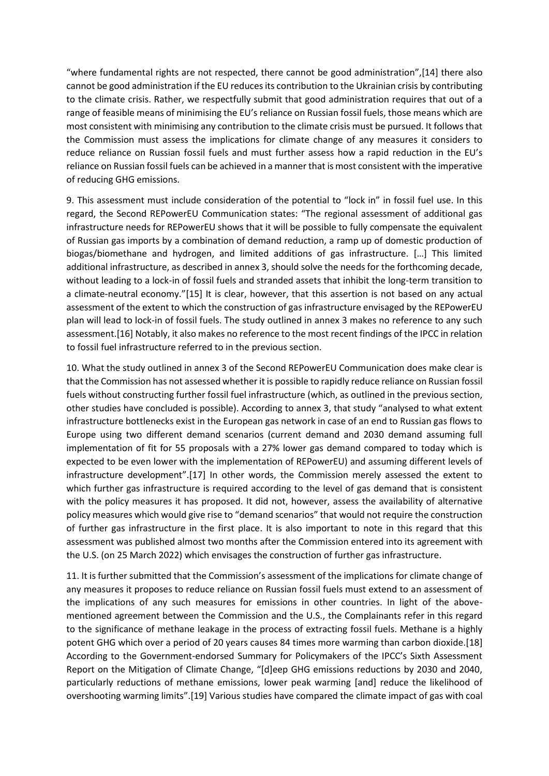"where fundamental rights are not respected, there cannot be good administration",[14] there also cannot be good administration if the EU reduces its contribution to the Ukrainian crisis by contributing to the climate crisis. Rather, we respectfully submit that good administration requires that out of a range of feasible means of minimising the EU's reliance on Russian fossil fuels, those means which are most consistent with minimising any contribution to the climate crisis must be pursued. It follows that the Commission must assess the implications for climate change of any measures it considers to reduce reliance on Russian fossil fuels and must further assess how a rapid reduction in the EU's reliance on Russian fossil fuels can be achieved in a manner that is most consistent with the imperative of reducing GHG emissions.

9. This assessment must include consideration of the potential to "lock in" in fossil fuel use. In this regard, the Second REPowerEU Communication states: "The regional assessment of additional gas infrastructure needs for REPowerEU shows that it will be possible to fully compensate the equivalent of Russian gas imports by a combination of demand reduction, a ramp up of domestic production of biogas/biomethane and hydrogen, and limited additions of gas infrastructure. […] This limited additional infrastructure, as described in annex 3, should solve the needs for the forthcoming decade, without leading to a lock-in of fossil fuels and stranded assets that inhibit the long-term transition to a climate-neutral economy."[15] It is clear, however, that this assertion is not based on any actual assessment of the extent to which the construction of gas infrastructure envisaged by the REPowerEU plan will lead to lock-in of fossil fuels. The study outlined in annex 3 makes no reference to any such assessment.[16] Notably, it also makes no reference to the most recent findings of the IPCC in relation to fossil fuel infrastructure referred to in the previous section.

10. What the study outlined in annex 3 of the Second REPowerEU Communication does make clear is that the Commission has not assessed whether it is possible to rapidly reduce reliance on Russian fossil fuels without constructing further fossil fuel infrastructure (which, as outlined in the previous section, other studies have concluded is possible). According to annex 3, that study "analysed to what extent infrastructure bottlenecks exist in the European gas network in case of an end to Russian gas flows to Europe using two different demand scenarios (current demand and 2030 demand assuming full implementation of fit for 55 proposals with a 27% lower gas demand compared to today which is expected to be even lower with the implementation of REPowerEU) and assuming different levels of infrastructure development".[17] In other words, the Commission merely assessed the extent to which further gas infrastructure is required according to the level of gas demand that is consistent with the policy measures it has proposed. It did not, however, assess the availability of alternative policy measures which would give rise to "demand scenarios" that would not require the construction of further gas infrastructure in the first place. It is also important to note in this regard that this assessment was published almost two months after the Commission entered into its agreement with the U.S. (on 25 March 2022) which envisages the construction of further gas infrastructure.

11. It is further submitted that the Commission's assessment of the implications for climate change of any measures it proposes to reduce reliance on Russian fossil fuels must extend to an assessment of the implications of any such measures for emissions in other countries. In light of the abovementioned agreement between the Commission and the U.S., the Complainants refer in this regard to the significance of methane leakage in the process of extracting fossil fuels. Methane is a highly potent GHG which over a period of 20 years causes 84 times more warming than carbon dioxide.[18] According to the Government-endorsed Summary for Policymakers of the IPCC's Sixth Assessment Report on the Mitigation of Climate Change, "[d]eep GHG emissions reductions by 2030 and 2040, particularly reductions of methane emissions, lower peak warming [and] reduce the likelihood of overshooting warming limits".[19] Various studies have compared the climate impact of gas with coal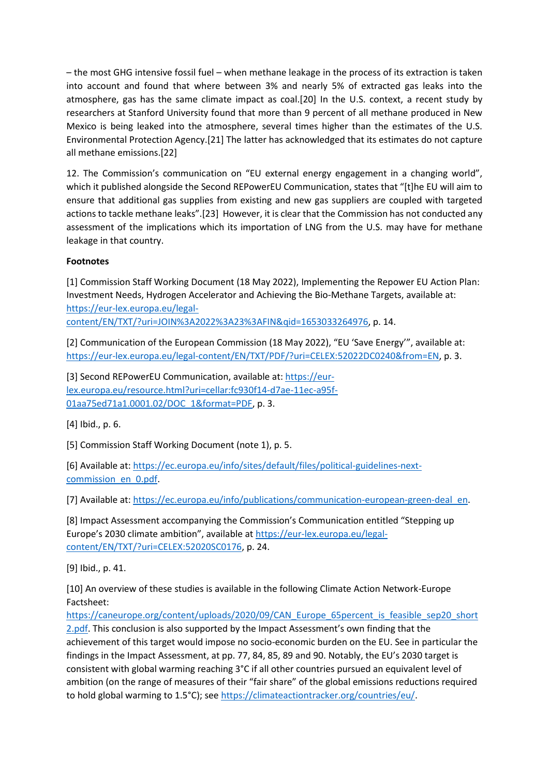– the most GHG intensive fossil fuel – when methane leakage in the process of its extraction is taken into account and found that where between 3% and nearly 5% of extracted gas leaks into the atmosphere, gas has the same climate impact as coal.[20] In the U.S. context, a recent study by researchers at Stanford University found that more than 9 percent of all methane produced in New Mexico is being leaked into the atmosphere, several times higher than the estimates of the U.S. Environmental Protection Agency.[21] The latter has acknowledged that its estimates do not capture all methane emissions.[22]

12. The Commission's communication on "EU external energy engagement in a changing world", which it published alongside the Second REPowerEU Communication, states that "[t]he EU will aim to ensure that additional gas supplies from existing and new gas suppliers are coupled with targeted actions to tackle methane leaks".[23] However, it is clear that the Commission has not conducted any assessment of the implications which its importation of LNG from the U.S. may have for methane leakage in that country.

## **Footnotes**

[1] Commission Staff Working Document (18 May 2022), Implementing the Repower EU Action Plan: Investment Needs, Hydrogen Accelerator and Achieving the Bio-Methane Targets, available at: [https://eur-lex.europa.eu/legal-](https://eur-lex.europa.eu/legal-content/EN/TXT/?uri=JOIN%3A2022%3A23%3AFIN&qid=1653033264976)

[content/EN/TXT/?uri=JOIN%3A2022%3A23%3AFIN&qid=1653033264976,](https://eur-lex.europa.eu/legal-content/EN/TXT/?uri=JOIN%3A2022%3A23%3AFIN&qid=1653033264976) p. 14.

[2] Communication of the European Commission (18 May 2022), "EU 'Save Energy'", available at: [https://eur-lex.europa.eu/legal-content/EN/TXT/PDF/?uri=CELEX:52022DC0240&from=EN,](https://eur-lex.europa.eu/legal-content/EN/TXT/PDF/?uri=CELEX:52022DC0240&from=EN) p. 3.

[3] Second REPowerEU Communication, available at[: https://eur](https://eur-lex.europa.eu/resource.html?uri=cellar:fc930f14-d7ae-11ec-a95f-01aa75ed71a1.0001.02/DOC_1&format=PDF)[lex.europa.eu/resource.html?uri=cellar:fc930f14-d7ae-11ec-a95f-](https://eur-lex.europa.eu/resource.html?uri=cellar:fc930f14-d7ae-11ec-a95f-01aa75ed71a1.0001.02/DOC_1&format=PDF)[01aa75ed71a1.0001.02/DOC\\_1&format=PDF,](https://eur-lex.europa.eu/resource.html?uri=cellar:fc930f14-d7ae-11ec-a95f-01aa75ed71a1.0001.02/DOC_1&format=PDF) p. 3.

[4] Ibid., p. 6.

[5] Commission Staff Working Document (note 1), p. 5.

[6] Available at: [https://ec.europa.eu/info/sites/default/files/political-guidelines-next](https://ec.europa.eu/info/sites/default/files/political-guidelines-next-commission_en_0.pdf)[commission\\_en\\_0.pdf.](https://ec.europa.eu/info/sites/default/files/political-guidelines-next-commission_en_0.pdf)

[7] Available at: [https://ec.europa.eu/info/publications/communication-european-green-deal\\_en.](https://ec.europa.eu/info/publications/communication-european-green-deal_en)

[8] Impact Assessment accompanying the Commission's Communication entitled "Stepping up Europe's 2030 climate ambition", available at [https://eur-lex.europa.eu/legal](https://eur-lex.europa.eu/legal-content/EN/TXT/?uri=CELEX:52020SC0176)[content/EN/TXT/?uri=CELEX:52020SC0176,](https://eur-lex.europa.eu/legal-content/EN/TXT/?uri=CELEX:52020SC0176) p. 24.

[9] Ibid., p. 41.

[10] An overview of these studies is available in the following Climate Action Network-Europe Factsheet:

[https://caneurope.org/content/uploads/2020/09/CAN\\_Europe\\_65percent\\_is\\_feasible\\_sep20\\_short](https://caneurope.org/content/uploads/2020/09/CAN_Europe_65percent_is_feasible_sep20_short2.pdf) [2.pdf](https://caneurope.org/content/uploads/2020/09/CAN_Europe_65percent_is_feasible_sep20_short2.pdf). This conclusion is also supported by the Impact Assessment's own finding that the achievement of this target would impose no socio-economic burden on the EU. See in particular the findings in the Impact Assessment, at pp. 77, 84, 85, 89 and 90. Notably, the EU's 2030 target is consistent with global warming reaching 3°C if all other countries pursued an equivalent level of ambition (on the range of measures of their "fair share" of the global emissions reductions required to hold global warming to 1.5°C); se[e https://climateactiontracker.org/countries/eu/.](https://climateactiontracker.org/countries/eu/)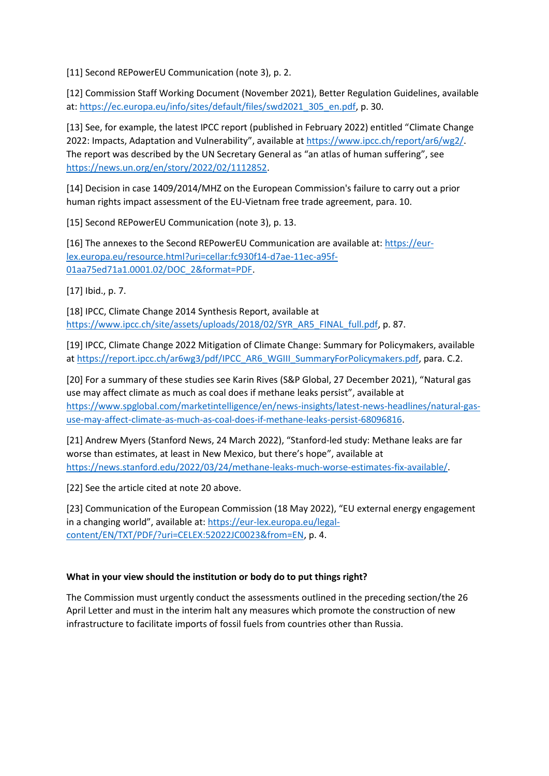[11] Second REPowerEU Communication (note 3), p. 2.

[12] Commission Staff Working Document (November 2021), Better Regulation Guidelines, available at: [https://ec.europa.eu/info/sites/default/files/swd2021\\_305\\_en.pdf,](https://ec.europa.eu/info/sites/default/files/swd2021_305_en.pdf) p. 30.

[13] See, for example, the latest IPCC report (published in February 2022) entitled "Climate Change 2022: Impacts, Adaptation and Vulnerability", available at [https://www.ipcc.ch/report/ar6/wg2/.](https://www.ipcc.ch/report/ar6/wg2/) The report was described by the UN Secretary General as "an atlas of human suffering", see [https://news.un.org/en/story/2022/02/1112852.](https://news.un.org/en/story/2022/02/1112852)

[14] Decision in case 1409/2014/MHZ on the European Commission's failure to carry out a prior human rights impact assessment of the EU-Vietnam free trade agreement, para. 10.

[15] Second REPowerEU Communication (note 3), p. 13.

[16] The annexes to the Second REPowerEU Communication are available at: [https://eur](https://eur-lex.europa.eu/resource.html?uri=cellar:fc930f14-d7ae-11ec-a95f-01aa75ed71a1.0001.02/DOC_2&format=PDF)[lex.europa.eu/resource.html?uri=cellar:fc930f14-d7ae-11ec-a95f-](https://eur-lex.europa.eu/resource.html?uri=cellar:fc930f14-d7ae-11ec-a95f-01aa75ed71a1.0001.02/DOC_2&format=PDF)[01aa75ed71a1.0001.02/DOC\\_2&format=PDF.](https://eur-lex.europa.eu/resource.html?uri=cellar:fc930f14-d7ae-11ec-a95f-01aa75ed71a1.0001.02/DOC_2&format=PDF)

[17] Ibid., p. 7.

[18] IPCC, Climate Change 2014 Synthesis Report, available at [https://www.ipcc.ch/site/assets/uploads/2018/02/SYR\\_AR5\\_FINAL\\_full.pdf,](https://www.ipcc.ch/site/assets/uploads/2018/02/SYR_AR5_FINAL_full.pdf) p. 87.

[19] IPCC, Climate Change 2022 Mitigation of Climate Change: Summary for Policymakers, available a[t https://report.ipcc.ch/ar6wg3/pdf/IPCC\\_AR6\\_WGIII\\_SummaryForPolicymakers.pdf,](https://report.ipcc.ch/ar6wg3/pdf/IPCC_AR6_WGIII_SummaryForPolicymakers.pdf) para. C.2.

[20] For a summary of these studies see Karin Rives (S&P Global, 27 December 2021), "Natural gas use may affect climate as much as coal does if methane leaks persist", available at [https://www.spglobal.com/marketintelligence/en/news-insights/latest-news-headlines/natural-gas](https://www.spglobal.com/marketintelligence/en/news-insights/latest-news-headlines/natural-gas-use-may-affect-climate-as-much-as-coal-does-if-methane-leaks-persist-68096816)[use-may-affect-climate-as-much-as-coal-does-if-methane-leaks-persist-68096816.](https://www.spglobal.com/marketintelligence/en/news-insights/latest-news-headlines/natural-gas-use-may-affect-climate-as-much-as-coal-does-if-methane-leaks-persist-68096816)

[21] Andrew Myers (Stanford News, 24 March 2022), "Stanford-led study: Methane leaks are far worse than estimates, at least in New Mexico, but there's hope", available at [https://news.stanford.edu/2022/03/24/methane-leaks-much-worse-estimates-fix-available/.](https://news.stanford.edu/2022/03/24/methane-leaks-much-worse-estimates-fix-available/)

[22] See the article cited at note 20 above.

[23] Communication of the European Commission (18 May 2022), "EU external energy engagement in a changing world", available at: [https://eur-lex.europa.eu/legal](https://eur-lex.europa.eu/legal-content/EN/TXT/PDF/?uri=CELEX:52022JC0023&from=EN)[content/EN/TXT/PDF/?uri=CELEX:52022JC0023&from=EN,](https://eur-lex.europa.eu/legal-content/EN/TXT/PDF/?uri=CELEX:52022JC0023&from=EN) p. 4.

### **What in your view should the institution or body do to put things right?**

The Commission must urgently conduct the assessments outlined in the preceding section/the 26 April Letter and must in the interim halt any measures which promote the construction of new infrastructure to facilitate imports of fossil fuels from countries other than Russia.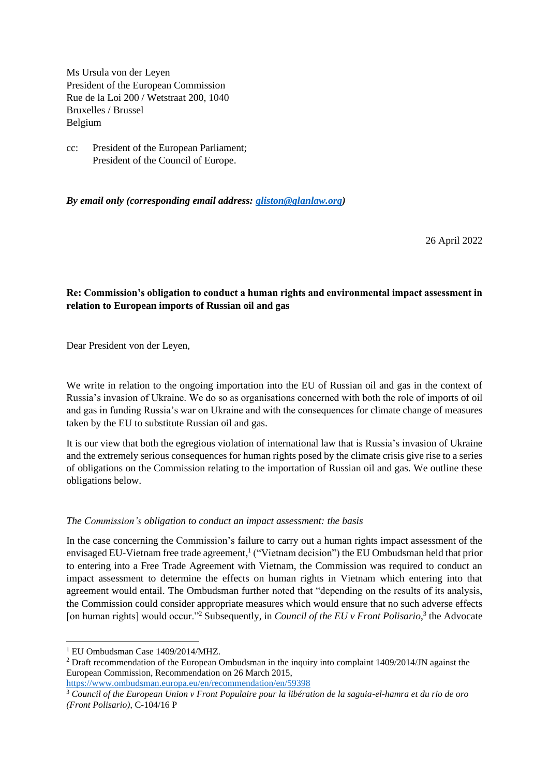Ms Ursula von der Leyen President of the European Commission Rue de la Loi 200 / Wetstraat 200, 1040 Bruxelles / Brussel Belgium

cc: President of the European Parliament; President of the Council of Europe.

*By email only (corresponding email address: [gliston@glanlaw.org\)](mailto:gliston@glanlaw.org)* 

26 April 2022

## **Re: Commission's obligation to conduct a human rights and environmental impact assessment in relation to European imports of Russian oil and gas**

Dear President von der Leyen,

We write in relation to the ongoing importation into the EU of Russian oil and gas in the context of Russia's invasion of Ukraine. We do so as organisations concerned with both the role of imports of oil and gas in funding Russia's war on Ukraine and with the consequences for climate change of measures taken by the EU to substitute Russian oil and gas.

It is our view that both the egregious violation of international law that is Russia's invasion of Ukraine and the extremely serious consequences for human rights posed by the climate crisis give rise to a series of obligations on the Commission relating to the importation of Russian oil and gas. We outline these obligations below.

### *The Commission's obligation to conduct an impact assessment: the basis*

In the case concerning the Commission's failure to carry out a human rights impact assessment of the envisaged EU-Vietnam free trade agreement,<sup>1</sup> ("Vietnam decision") the EU Ombudsman held that prior to entering into a Free Trade Agreement with Vietnam, the Commission was required to conduct an impact assessment to determine the effects on human rights in Vietnam which entering into that agreement would entail. The Ombudsman further noted that "depending on the results of its analysis, the Commission could consider appropriate measures which would ensure that no such adverse effects [on human rights] would occur."<sup>2</sup> Subsequently, in *Council of the EU v Front Polisario*,<sup>3</sup> the Advocate

<sup>&</sup>lt;sup>1</sup> EU Ombudsman Case 1409/2014/MHZ.

<sup>&</sup>lt;sup>2</sup> Draft recommendation of the European Ombudsman in the inquiry into complaint 1409/2014/JN against the European Commission, Recommendation on 26 March 2015,

<https://www.ombudsman.europa.eu/en/recommendation/en/59398>

<sup>3</sup> *Council of the European Union v Front Populaire pour la libération de la saguia-el-hamra et du rio de oro (Front Polisario)*, C-104/16 P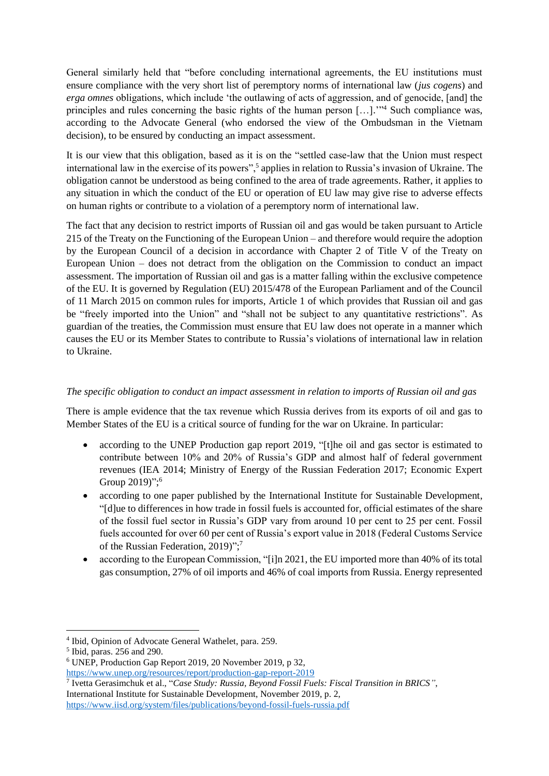General similarly held that "before concluding international agreements, the EU institutions must ensure compliance with the very short list of peremptory norms of international law (*jus cogens*) and *erga omnes* obligations, which include 'the outlawing of acts of aggression, and of genocide, [and] the principles and rules concerning the basic rights of the human person [...]."<sup>4</sup> Such compliance was, according to the Advocate General (who endorsed the view of the Ombudsman in the Vietnam decision), to be ensured by conducting an impact assessment.

It is our view that this obligation, based as it is on the "settled case-law that the Union must respect international law in the exercise of its powers",<sup>5</sup> applies in relation to Russia's invasion of Ukraine. The obligation cannot be understood as being confined to the area of trade agreements. Rather, it applies to any situation in which the conduct of the EU or operation of EU law may give rise to adverse effects on human rights or contribute to a violation of a peremptory norm of international law.

The fact that any decision to restrict imports of Russian oil and gas would be taken pursuant to Article 215 of the Treaty on the Functioning of the European Union – and therefore would require the adoption by the European Council of a decision in accordance with Chapter 2 of Title V of the Treaty on European Union – does not detract from the obligation on the Commission to conduct an impact assessment. The importation of Russian oil and gas is a matter falling within the exclusive competence of the EU. It is governed by Regulation (EU) 2015/478 of the European Parliament and of the Council of 11 March 2015 on common rules for imports, Article 1 of which provides that Russian oil and gas be "freely imported into the Union" and "shall not be subject to any quantitative restrictions". As guardian of the treaties, the Commission must ensure that EU law does not operate in a manner which causes the EU or its Member States to contribute to Russia's violations of international law in relation to Ukraine.

## *The specific obligation to conduct an impact assessment in relation to imports of Russian oil and gas*

There is ample evidence that the tax revenue which Russia derives from its exports of oil and gas to Member States of the EU is a critical source of funding for the war on Ukraine. In particular:

- according to the UNEP Production gap report 2019, "[t]he oil and gas sector is estimated to contribute between 10% and 20% of Russia's GDP and almost half of federal government revenues (IEA 2014; Ministry of Energy of the Russian Federation 2017; Economic Expert Group 2019)";<sup>6</sup>
- according to one paper published by the International Institute for Sustainable Development, "[d]ue to differences in how trade in fossil fuels is accounted for, official estimates of the share of the fossil fuel sector in Russia's GDP vary from around 10 per cent to 25 per cent. Fossil fuels accounted for over 60 per cent of Russia's export value in 2018 (Federal Customs Service of the Russian Federation, 2019)";7
- according to the European Commission, "[i]n 2021, the EU imported more than 40% of its total gas consumption, 27% of oil imports and 46% of coal imports from Russia. Energy represented

- <sup>6</sup> UNEP, Production Gap Report 2019, 20 November 2019, p 32, <https://www.unep.org/resources/report/production-gap-report-2019>
- 7 Ivetta Gerasimchuk et al., "*Case Study: Russia, Beyond Fossil Fuels: Fiscal Transition in BRICS"*, International Institute for Sustainable Development, November 2019, p. 2, <https://www.iisd.org/system/files/publications/beyond-fossil-fuels-russia.pdf>

<sup>4</sup> Ibid, Opinion of Advocate General Wathelet, para. 259.

<sup>5</sup> Ibid, paras. 256 and 290.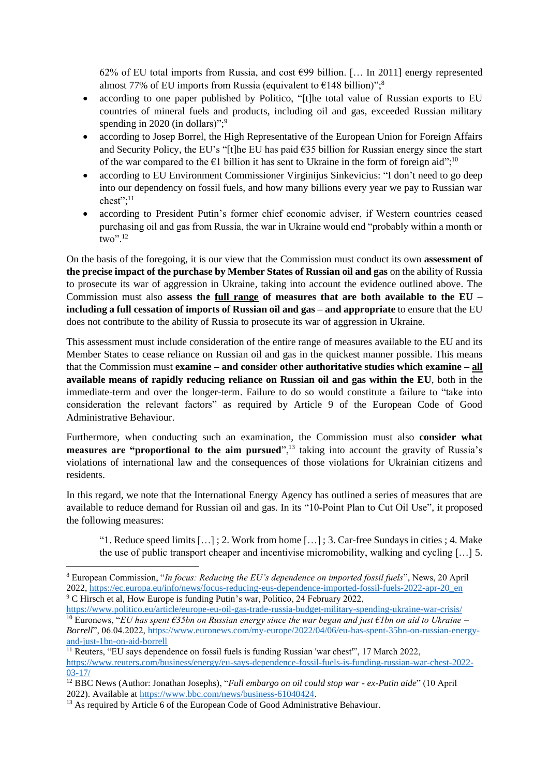62% of EU total imports from Russia, and cost  $\epsilon$ 99 billion. [... In 2011] energy represented almost 77% of EU imports from Russia (equivalent to  $€148$  billion)";<sup>8</sup>

- according to one paper published by Politico, "[t]he total value of Russian exports to EU countries of mineral fuels and products, including oil and gas, exceeded Russian military spending in 2020 (in dollars)";<sup>9</sup>
- according to Josep Borrel, the High Representative of the European Union for Foreign Affairs and Security Policy, the EU's "[t]he EU has paid  $\epsilon$ 35 billion for Russian energy since the start of the war compared to the  $\epsilon$ 1 billion it has sent to Ukraine in the form of foreign aid";<sup>10</sup>
- according to EU Environment Commissioner Virginijus Sinkevicius: "I don't need to go deep into our dependency on fossil fuels, and how many billions every year we pay to Russian war chest";<sup>11</sup>
- according to President Putin's former chief economic adviser, if Western countries ceased purchasing oil and gas from Russia, the war in Ukraine would end "probably within a month or two". 12

On the basis of the foregoing, it is our view that the Commission must conduct its own **assessment of the precise impact of the purchase by Member States of Russian oil and gas** on the ability of Russia to prosecute its war of aggression in Ukraine, taking into account the evidence outlined above. The Commission must also **assess the full range of measures that are both available to the EU – including a full cessation of imports of Russian oil and gas – and appropriate** to ensure that the EU does not contribute to the ability of Russia to prosecute its war of aggression in Ukraine.

This assessment must include consideration of the entire range of measures available to the EU and its Member States to cease reliance on Russian oil and gas in the quickest manner possible. This means that the Commission must **examine – and consider other authoritative studies which examine – all available means of rapidly reducing reliance on Russian oil and gas within the EU**, both in the immediate-term and over the longer-term. Failure to do so would constitute a failure to "take into consideration the relevant factors" as required by Article 9 of the European Code of Good Administrative Behaviour.

Furthermore, when conducting such an examination, the Commission must also **consider what measures are "proportional to the aim pursued",**<sup>13</sup> taking into account the gravity of Russia's violations of international law and the consequences of those violations for Ukrainian citizens and residents.

In this regard, we note that the International Energy Agency has outlined a series of measures that are available to reduce demand for Russian oil and gas. In its "10-Point Plan to Cut Oil Use", it proposed the following measures:

"1. Reduce speed limits  $[\dots]$ : 2. Work from home  $[\dots]$ : 3. Car-free Sundays in cities : 4. Make the use of public transport cheaper and incentivise micromobility, walking and cycling […] 5.

<sup>8</sup> European Commission, "*In focus: Reducing the EU's dependence on imported fossil fuels*", News, 20 April 2022, [https://ec.europa.eu/info/news/focus-reducing-eus-dependence-imported-fossil-fuels-2022-apr-20\\_en](https://ec.europa.eu/info/news/focus-reducing-eus-dependence-imported-fossil-fuels-2022-apr-20_en) <sup>9</sup> C Hirsch et al, How Europe is funding Putin's war, Politico, 24 February 2022,

<https://www.politico.eu/article/europe-eu-oil-gas-trade-russia-budget-military-spending-ukraine-war-crisis/> <sup>10</sup> Euronews, "*EU has spent €35bn on Russian energy since the war began and just €1bn on aid to Ukraine – Borrell*", 06.04.2022, [https://www.euronews.com/my-europe/2022/04/06/eu-has-spent-35bn-on-russian-energy](https://www.euronews.com/my-europe/2022/04/06/eu-has-spent-35bn-on-russian-energy-and-just-1bn-on-aid-borrell)[and-just-1bn-on-aid-borrell](https://www.euronews.com/my-europe/2022/04/06/eu-has-spent-35bn-on-russian-energy-and-just-1bn-on-aid-borrell)

<sup>&</sup>lt;sup>11</sup> Reuters, "EU says dependence on fossil fuels is funding Russian 'war chest", 17 March 2022, [https://www.reuters.com/business/energy/eu-says-dependence-fossil-fuels-is-funding-russian-war-chest-2022-](https://www.reuters.com/business/energy/eu-says-dependence-fossil-fuels-is-funding-russian-war-chest-2022-03-17/) [03-17/](https://www.reuters.com/business/energy/eu-says-dependence-fossil-fuels-is-funding-russian-war-chest-2022-03-17/)

<sup>12</sup> BBC News (Author: Jonathan Josephs), "*Full embargo on oil could stop war - ex-Putin aide*" (10 April 2022). Available at [https://www.bbc.com/news/business-61040424.](https://www.bbc.com/news/business-61040424)

<sup>&</sup>lt;sup>13</sup> As required by Article 6 of the European Code of Good Administrative Behaviour.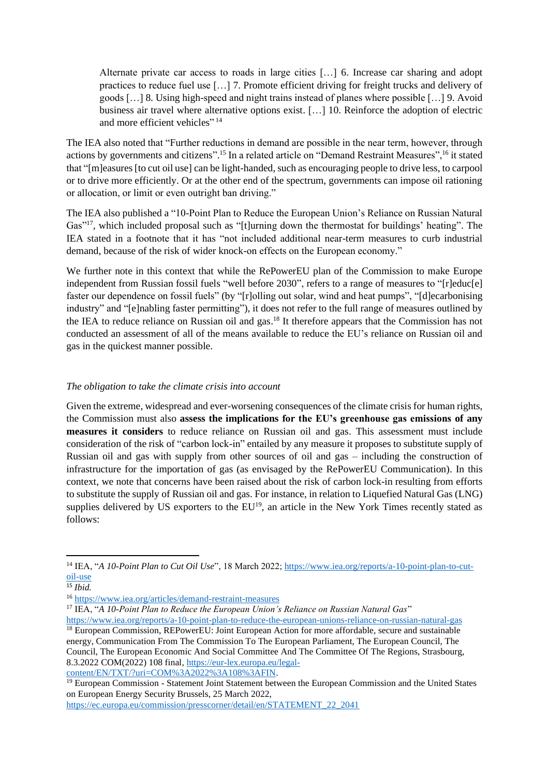Alternate private car access to roads in large cities […] 6. Increase car sharing and adopt practices to reduce fuel use […] 7. Promote efficient driving for freight trucks and delivery of goods […] 8. Using high-speed and night trains instead of planes where possible […] 9. Avoid business air travel where alternative options exist. […] 10. Reinforce the adoption of electric and more efficient vehicles"<sup>14</sup>

The IEA also noted that "Further reductions in demand are possible in the near term, however, through actions by governments and citizens".<sup>15</sup> In a related article on "Demand Restraint Measures",<sup>16</sup> it stated that "[m]easures [to cut oil use] can be light-handed, such as encouraging people to drive less, to carpool or to drive more efficiently. Or at the other end of the spectrum, governments can impose oil rationing or allocation, or limit or even outright ban driving."

The IEA also published a "10-Point Plan to Reduce the European Union's Reliance on Russian Natural Gas"<sup>17</sup>, which included proposal such as "[t]urning down the thermostat for buildings' heating". The IEA stated in a footnote that it has "not included additional near-term measures to curb industrial demand, because of the risk of wider knock-on effects on the European economy."

We further note in this context that while the RePowerEU plan of the Commission to make Europe independent from Russian fossil fuels "well before 2030", refers to a range of measures to "[r]educ[e] faster our dependence on fossil fuels" (by "[r]olling out solar, wind and heat pumps", "[d]ecarbonising industry" and "[e]nabling faster permitting"), it does not refer to the full range of measures outlined by the IEA to reduce reliance on Russian oil and gas.<sup>18</sup> It therefore appears that the Commission has not conducted an assessment of all of the means available to reduce the EU's reliance on Russian oil and gas in the quickest manner possible.

### *The obligation to take the climate crisis into account*

Given the extreme, widespread and ever-worsening consequences of the climate crisis for human rights, the Commission must also **assess the implications for the EU's greenhouse gas emissions of any measures it considers** to reduce reliance on Russian oil and gas. This assessment must include consideration of the risk of "carbon lock-in" entailed by any measure it proposes to substitute supply of Russian oil and gas with supply from other sources of oil and gas – including the construction of infrastructure for the importation of gas (as envisaged by the RePowerEU Communication). In this context, we note that concerns have been raised about the risk of carbon lock-in resulting from efforts to substitute the supply of Russian oil and gas. For instance, in relation to Liquefied Natural Gas (LNG) supplies delivered by US exporters to the EU<sup>19</sup>, an article in the New York Times recently stated as follows:

[content/EN/TXT/?uri=COM%3A2022%3A108%3AFIN.](https://eur-lex.europa.eu/legal-content/EN/TXT/?uri=COM%3A2022%3A108%3AFIN) 

<sup>&</sup>lt;sup>14</sup> IEA, "*A 10-Point Plan to Cut Oil Use*", 18 March 2022[; https://www.iea.org/reports/a-10-point-plan-to-cut](https://www.iea.org/reports/a-10-point-plan-to-cut-oil-use)[oil-use](https://www.iea.org/reports/a-10-point-plan-to-cut-oil-use)

<sup>15</sup> *Ibid.*

<sup>16</sup> <https://www.iea.org/articles/demand-restraint-measures>

<sup>17</sup> IEA, "*A 10-Point Plan to Reduce the European Union's Reliance on Russian Natural Gas*" <https://www.iea.org/reports/a-10-point-plan-to-reduce-the-european-unions-reliance-on-russian-natural-gas>

<sup>&</sup>lt;sup>18</sup> European Commission, REPowerEU: Joint European Action for more affordable, secure and sustainable energy, Communication From The Commission To The European Parliament, The European Council, The Council, The European Economic And Social Committee And The Committee Of The Regions, Strasbourg, 8.3.2022 COM(2022) 108 final, [https://eur-lex.europa.eu/legal-](https://eur-lex.europa.eu/legal-content/EN/TXT/?uri=COM%3A2022%3A108%3AFIN)

<sup>&</sup>lt;sup>19</sup> European Commission - Statement Joint Statement between the European Commission and the United States on European Energy Security Brussels, 25 March 2022,

[https://ec.europa.eu/commission/presscorner/detail/en/STATEMENT\\_22\\_2041](https://ec.europa.eu/commission/presscorner/detail/en/STATEMENT_22_2041)